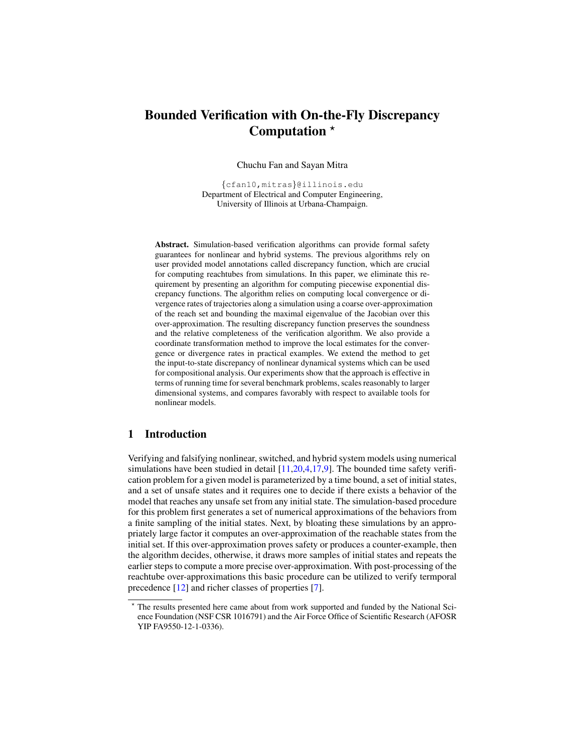# Bounded Verification with On-the-Fly Discrepancy Computation \*

Chuchu Fan and Sayan Mitra

{cfan10,mitras}@illinois.edu Department of Electrical and Computer Engineering, University of Illinois at Urbana-Champaign.

Abstract. Simulation-based verification algorithms can provide formal safety guarantees for nonlinear and hybrid systems. The previous algorithms rely on user provided model annotations called discrepancy function, which are crucial for computing reachtubes from simulations. In this paper, we eliminate this requirement by presenting an algorithm for computing piecewise exponential discrepancy functions. The algorithm relies on computing local convergence or divergence rates of trajectories along a simulation using a coarse over-approximation of the reach set and bounding the maximal eigenvalue of the Jacobian over this over-approximation. The resulting discrepancy function preserves the soundness and the relative completeness of the verification algorithm. We also provide a coordinate transformation method to improve the local estimates for the convergence or divergence rates in practical examples. We extend the method to get the input-to-state discrepancy of nonlinear dynamical systems which can be used for compositional analysis. Our experiments show that the approach is effective in terms of running time for several benchmark problems, scales reasonably to larger dimensional systems, and compares favorably with respect to available tools for nonlinear models.

# 1 Introduction

Verifying and falsifying nonlinear, switched, and hybrid system models using numerical simulations have been studied in detail  $[11,20,4,17,9]$  $[11,20,4,17,9]$  $[11,20,4,17,9]$  $[11,20,4,17,9]$  $[11,20,4,17,9]$ . The bounded time safety verification problem for a given model is parameterized by a time bound, a set of initial states, and a set of unsafe states and it requires one to decide if there exists a behavior of the model that reaches any unsafe set from any initial state. The simulation-based procedure for this problem first generates a set of numerical approximations of the behaviors from a finite sampling of the initial states. Next, by bloating these simulations by an appropriately large factor it computes an over-approximation of the reachable states from the initial set. If this over-approximation proves safety or produces a counter-example, then the algorithm decides, otherwise, it draws more samples of initial states and repeats the earlier steps to compute a more precise over-approximation. With post-processing of the reachtube over-approximations this basic procedure can be utilized to verify termporal precedence [\[12\]](#page-15-5) and richer classes of properties [\[7\]](#page-15-6).

<sup>?</sup> The results presented here came about from work supported and funded by the National Science Foundation (NSF CSR 1016791) and the Air Force Office of Scientific Research (AFOSR YIP FA9550-12-1-0336).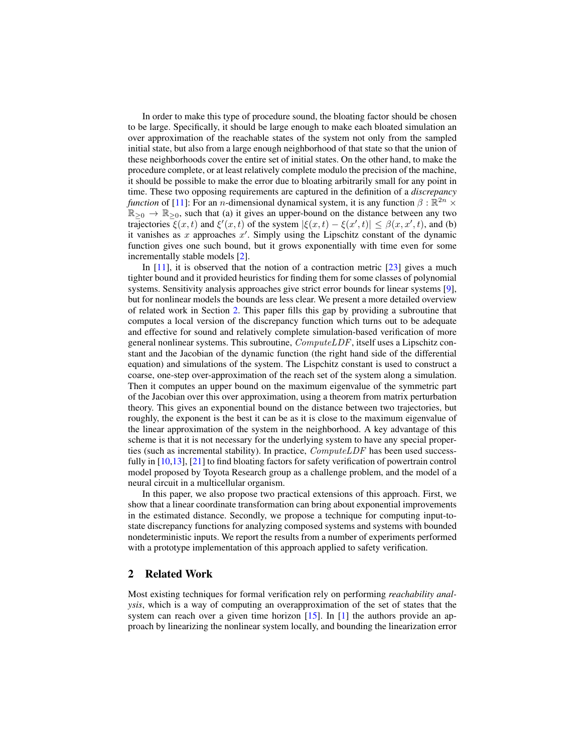In order to make this type of procedure sound, the bloating factor should be chosen to be large. Specifically, it should be large enough to make each bloated simulation an over approximation of the reachable states of the system not only from the sampled initial state, but also from a large enough neighborhood of that state so that the union of these neighborhoods cover the entire set of initial states. On the other hand, to make the procedure complete, or at least relatively complete modulo the precision of the machine, it should be possible to make the error due to bloating arbitrarily small for any point in time. These two opposing requirements are captured in the definition of a *discrepancy function* of [\[11\]](#page-15-0): For an *n*-dimensional dynamical system, it is any function  $\beta$  :  $\mathbb{R}^{2n}$  ×  $\mathbb{R}_{>0} \to \mathbb{R}_{>0}$ , such that (a) it gives an upper-bound on the distance between any two trajectories  $\overline{\xi}(x,t)$  and  $\xi'(x,t)$  of the system  $|\xi(x,t) - \xi(x',t)| \leq \beta(x,x',t)$ , and (b) it vanishes as  $x$  approaches  $x'$ . Simply using the Lipschitz constant of the dynamic function gives one such bound, but it grows exponentially with time even for some incrementally stable models [\[2\]](#page-14-0).

In  $[11]$ , it is observed that the notion of a contraction metric  $[23]$  gives a much tighter bound and it provided heuristics for finding them for some classes of polynomial systems. Sensitivity analysis approaches give strict error bounds for linear systems [\[9\]](#page-15-4), but for nonlinear models the bounds are less clear. We present a more detailed overview of related work in Section [2.](#page-1-0) This paper fills this gap by providing a subroutine that computes a local version of the discrepancy function which turns out to be adequate and effective for sound and relatively complete simulation-based verification of more general nonlinear systems. This subroutine, ComputeLDF, itself uses a Lipschitz constant and the Jacobian of the dynamic function (the right hand side of the differential equation) and simulations of the system. The Lispchitz constant is used to construct a coarse, one-step over-approximation of the reach set of the system along a simulation. Then it computes an upper bound on the maximum eigenvalue of the symmetric part of the Jacobian over this over approximation, using a theorem from matrix perturbation theory. This gives an exponential bound on the distance between two trajectories, but roughly, the exponent is the best it can be as it is close to the maximum eigenvalue of the linear approximation of the system in the neighborhood. A key advantage of this scheme is that it is not necessary for the underlying system to have any special properties (such as incremental stability). In practice, ComputeLDF has been used successfully in [\[10](#page-15-8)[,13\]](#page-15-9), [\[21\]](#page-15-10) to find bloating factors for safety verification of powertrain control model proposed by Toyota Research group as a challenge problem, and the model of a neural circuit in a multicellular organism.

In this paper, we also propose two practical extensions of this approach. First, we show that a linear coordinate transformation can bring about exponential improvements in the estimated distance. Secondly, we propose a technique for computing input-tostate discrepancy functions for analyzing composed systems and systems with bounded nondeterministic inputs. We report the results from a number of experiments performed with a prototype implementation of this approach applied to safety verification.

# <span id="page-1-0"></span>2 Related Work

Most existing techniques for formal verification rely on performing *reachability analysis*, which is a way of computing an overapproximation of the set of states that the system can reach over a given time horizon [\[15\]](#page-15-11). In [\[1\]](#page-14-1) the authors provide an approach by linearizing the nonlinear system locally, and bounding the linearization error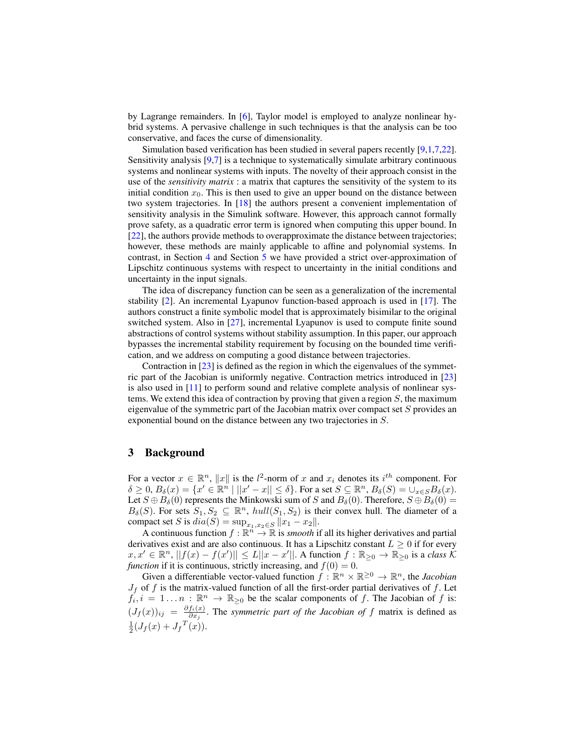by Lagrange remainders. In [\[6\]](#page-15-12), Taylor model is employed to analyze nonlinear hybrid systems. A pervasive challenge in such techniques is that the analysis can be too conservative, and faces the curse of dimensionality.

Simulation based verification has been studied in several papers recently [\[9](#page-15-4)[,1](#page-14-1)[,7](#page-15-6)[,22\]](#page-15-13). Sensitivity analysis [\[9,](#page-15-4)[7\]](#page-15-6) is a technique to systematically simulate arbitrary continuous systems and nonlinear systems with inputs. The novelty of their approach consist in the use of the *sensitivity matrix* : a matrix that captures the sensitivity of the system to its initial condition  $x_0$ . This is then used to give an upper bound on the distance between two system trajectories. In [\[18\]](#page-15-14) the authors present a convenient implementation of sensitivity analysis in the Simulink software. However, this approach cannot formally prove safety, as a quadratic error term is ignored when computing this upper bound. In [\[22\]](#page-15-13), the authors provide methods to overapproximate the distance between trajectories; however, these methods are mainly applicable to affine and polynomial systems. In contrast, in Section [4](#page-5-0) and Section [5](#page-10-0) we have provided a strict over-approximation of Lipschitz continuous systems with respect to uncertainty in the initial conditions and uncertainty in the input signals.

The idea of discrepancy function can be seen as a generalization of the incremental stability [\[2\]](#page-14-0). An incremental Lyapunov function-based approach is used in [\[17\]](#page-15-3). The authors construct a finite symbolic model that is approximately bisimilar to the original switched system. Also in [\[27\]](#page-15-15), incremental Lyapunov is used to compute finite sound abstractions of control systems without stability assumption. In this paper, our approach bypasses the incremental stability requirement by focusing on the bounded time verification, and we address on computing a good distance between trajectories.

Contraction in [\[23\]](#page-15-7) is defined as the region in which the eigenvalues of the symmetric part of the Jacobian is uniformly negative. Contraction metrics introduced in [\[23\]](#page-15-7) is also used in [\[11\]](#page-15-0) to perform sound and relative complete analysis of nonlinear systems. We extend this idea of contraction by proving that given a region  $S$ , the maximum eigenvalue of the symmetric part of the Jacobian matrix over compact set S provides an exponential bound on the distance between any two trajectories in S.

# 3 Background

For a vector  $x \in \mathbb{R}^n$ ,  $||x||$  is the  $l^2$ -norm of x and  $x_i$  denotes its  $i^{th}$  component. For  $\delta \geq 0$ ,  $B_{\delta}(x) = \{x' \in \mathbb{R}^n \mid ||x' - x|| \leq \delta\}$ . For a set  $S \subseteq \mathbb{R}^n$ ,  $B_{\delta}(S) = \bigcup_{x \in S} B_{\delta}(x)$ . Let  $S \oplus B_\delta(0)$  represents the Minkowski sum of S and  $B_\delta(0)$ . Therefore,  $S \oplus B_\delta(0) =$  $B_\delta(S)$ . For sets  $S_1, S_2 \subseteq \mathbb{R}^n$ ,  $hull(S_1, S_2)$  is their convex hull. The diameter of a compact set S is  $dia(S) = \sup_{x_1, x_2 \in S} ||x_1 - x_2||.$ 

A continuous function  $f : \mathbb{R}^n \to \mathbb{R}$  is *smooth* if all its higher derivatives and partial derivatives exist and are also continuous. It has a Lipschitz constant  $L \geq 0$  if for every  $x, x' \in \mathbb{R}^n$ ,  $||f(x) - f(x')|| \le L||x - x'||$ . A function  $f : \mathbb{R}_{\ge 0} \to \mathbb{R}_{\ge 0}$  is a *class* K *function* if it is continuous, strictly increasing, and  $f(0) = 0$ .

Given a differentiable vector-valued function  $f : \mathbb{R}^n \times \mathbb{R}^{\geq 0} \to \mathbb{R}^n$ , the *Jacobian*  $J_f$  of f is the matrix-valued function of all the first-order partial derivatives of f. Let  $f_i, i = 1...n : \mathbb{R}^n \to \mathbb{R}_{\geq 0}$  be the scalar components of f. The Jacobian of f is:  $(J_f(x))_{ij} = \frac{\partial f_i(x)}{\partial x_i}$  $\frac{f_i(x)}{\partial x_j}$ . The *symmetric part of the Jacobian of* f matrix is defined as  $\frac{1}{2}(J_f(x) + J_f^T(x)).$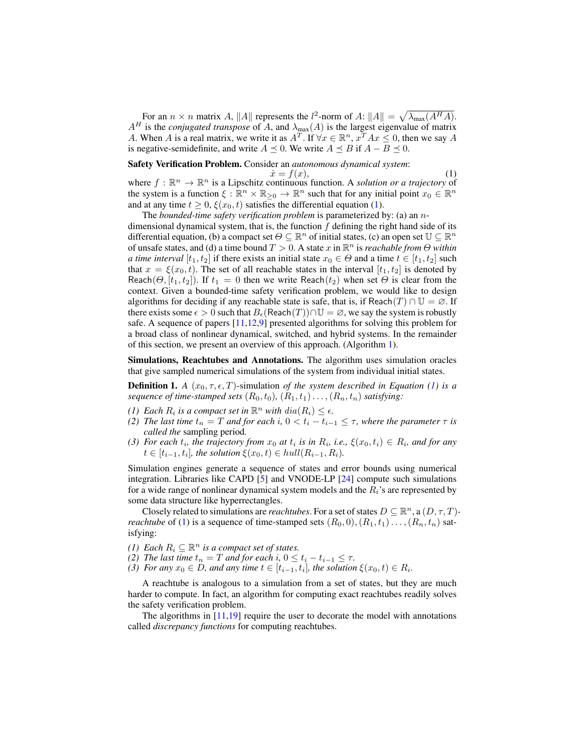For an  $n \times n$  matrix A, ||A|| represents the  $l^2$ -norm of A:  $||A|| = \sqrt{\lambda_{\max}(A^H A)}$ .  $A<sup>H</sup>$  is the *conjugated transpose* of A, and  $\lambda_{\text{max}}(A)$  is the largest eigenvalue of matrix A. When A is a real matrix, we write it as  $A^T$ . If  $\forall x \in \mathbb{R}^n$ ,  $x^T A x \leq 0$ , then we say A is negative-semidefinite, and write  $A \preceq 0$ . We write  $A \preceq B$  if  $A - B \preceq 0$ .

Safety Verification Problem. Consider an *autonomous dynamical system*:

<span id="page-3-0"></span>

where  $f : \mathbb{R}^n \to \mathbb{R}^n$  is a Lipschitz continuous function. A *solution or a trajectory* of the system is a function  $\xi : \mathbb{R}^n \times \mathbb{R}_{\geq 0} \to \mathbb{R}^n$  such that for any initial point  $x_0 \in \mathbb{R}^n$ and at any time  $t \geq 0$ ,  $\xi(x_0, t)$  satisfies the differential equation [\(1\)](#page-3-0).

The *bounded-time safety verification problem* is parameterized by: (a) an ndimensional dynamical system, that is, the function  $f$  defining the right hand side of its differential equation, (b) a compact set  $\Theta \subseteq \mathbb{R}^n$  of initial states, (c) an open set  $\mathbb{U} \subseteq \mathbb{R}^n$ of unsafe states, and (d) a time bound  $T > 0$ . A state x in  $\mathbb{R}^n$  is *reachable from*  $\Theta$  *within a time interval*  $[t_1, t_2]$  if there exists an initial state  $x_0 \in \Theta$  and a time  $t \in [t_1, t_2]$  such that  $x = \xi(x_0, t)$ . The set of all reachable states in the interval  $[t_1, t_2]$  is denoted by Reach( $\Theta$ ,  $[t_1, t_2]$ ). If  $t_1 = 0$  then we write Reach( $t_2$ ) when set  $\Theta$  is clear from the context. Given a bounded-time safety verification problem, we would like to design algorithms for deciding if any reachable state is safe, that is, if Reach(T)  $\cap \mathbb{U} = \emptyset$ . If there exists some  $\epsilon > 0$  such that  $B_{\epsilon}(\text{Reach}(T)) \cap \mathbb{U} = \emptyset$ , we say the system is robustly safe. A sequence of papers [\[11](#page-15-0)[,12](#page-15-5)[,9\]](#page-15-4) presented algorithms for solving this problem for a broad class of nonlinear dynamical, switched, and hybrid systems. In the remainder of this section, we present an overview of this approach. (Algorithm [1\)](#page-5-1).

Simulations, Reachtubes and Annotations. The algorithm uses simulation oracles that give sampled numerical simulations of the system from individual initial states.

**Definition 1.** *A*  $(x_0, \tau, \epsilon, T)$ -simulation *of the system described in Equation [\(1\)](#page-3-0) is a sequence of time-stamped sets*  $(R_0, t_0)$ *,*  $(R_1, t_1)$ ...,  $(R_n, t_n)$  *satisfying*:

- (1) Each  $R_i$  is a compact set in  $\mathbb{R}^n$  with  $dia(R_i) \leq \epsilon$ .
- *(2) The last time*  $t_n = T$  *and for each*  $i, 0 < t_i t_{i-1} \leq \tau$ , where the parameter  $\tau$  *is called the* sampling period*.*
- *(3) For each*  $t_i$ *, the trajectory from*  $x_0$  *at*  $t_i$  *is in*  $R_i$ *, i.e.,*  $\xi(x_0, t_i) \in R_i$ *, and for any*  $t \in [t_{i-1}, t_i]$ , the solution  $\xi(x_0, t) \in hull(R_{i-1}, R_i)$ .

Simulation engines generate a sequence of states and error bounds using numerical integration. Libraries like CAPD [\[5\]](#page-15-16) and VNODE-LP [\[24\]](#page-15-17) compute such simulations for a wide range of nonlinear dynamical system models and the  $R_i$ 's are represented by some data structure like hyperrectangles.

Closely related to simulations are *reachtubes*. For a set of states  $D \subseteq \mathbb{R}^n$ , a  $(D, \tau, T)$ *reachtube* of [\(1\)](#page-3-0) is a sequence of time-stamped sets  $(R_0, 0), (R_1, t_1) \dots, (R_n, t_n)$  satisfying:

- *(1) Each*  $R_i \subseteq \mathbb{R}^n$  *is a compact set of states.*
- *(2) The last time*  $t_n = T$  *and for each*  $i, 0 \le t_i t_{i-1} \le \tau$ .
- *(3) For any*  $x_0 \in D$ *, and any time*  $t \in [t_{i-1}, t_i]$ *, the solution*  $\xi(x_0, t) \in R_i$ *.*

A reachtube is analogous to a simulation from a set of states, but they are much harder to compute. In fact, an algorithm for computing exact reachtubes readily solves the safety verification problem.

The algorithms in  $[11,19]$  $[11,19]$  require the user to decorate the model with annotations called *discrepancy functions* for computing reachtubes.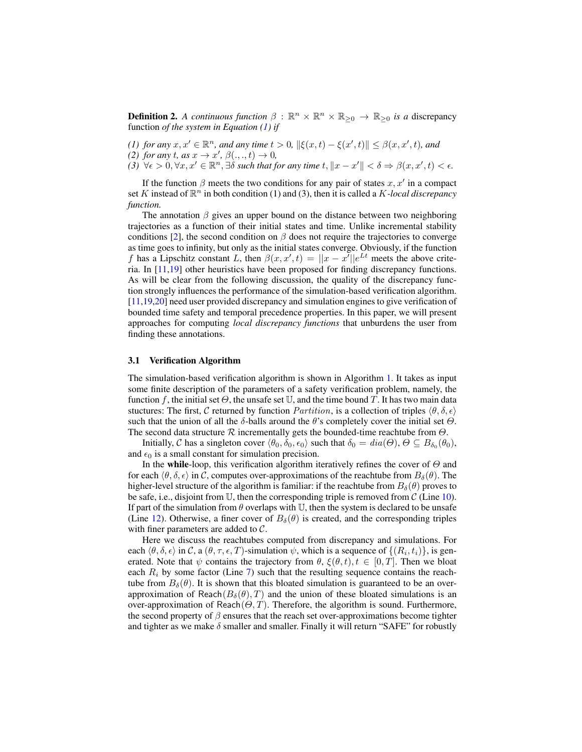**Definition 2.** A continuous function  $\beta : \mathbb{R}^n \times \mathbb{R}^n \times \mathbb{R}_{\geq 0} \to \mathbb{R}_{\geq 0}$  is a discrepancy function *of the system in Equation [\(1\)](#page-3-0) if*

*(1) for any*  $x, x' \in \mathbb{R}^n$ *, and any time*  $t > 0$ ,  $\|\xi(x,t) - \xi(x',t)\| \leq \beta(x, x', t)$ *, and* (2) *for any t*, *as*  $x \to x'$ ,  $\beta(.,.,t) \to 0$ ,  $\hat{f}(3)$   $\forall \epsilon > 0, \forall x, x' \in \mathbb{R}^n$ ,  $\exists \delta$  *such that for any time t*,  $\|x - x'\| < \delta \Rightarrow \beta(x, x', t) < \epsilon$ .

If the function  $\beta$  meets the two conditions for any pair of states  $x, x'$  in a compact set K instead of  $\mathbb{R}^n$  in both condition (1) and (3), then it is called a K-*local discrepancy function.*

The annotation  $\beta$  gives an upper bound on the distance between two neighboring trajectories as a function of their initial states and time. Unlike incremental stability conditions [\[2\]](#page-14-0), the second condition on  $\beta$  does not require the trajectories to converge as time goes to infinity, but only as the initial states converge. Obviously, if the function f has a Lipschitz constant L, then  $\beta(x, x', t) = ||x - x'||e^{Lt}$  meets the above criteria. In [\[11](#page-15-0)[,19\]](#page-15-18) other heuristics have been proposed for finding discrepancy functions. As will be clear from the following discussion, the quality of the discrepancy function strongly influences the performance of the simulation-based verification algorithm. [\[11,](#page-15-0)[19](#page-15-18)[,20\]](#page-15-1) need user provided discrepancy and simulation engines to give verification of bounded time safety and temporal precedence properties. In this paper, we will present approaches for computing *local discrepancy functions* that unburdens the user from finding these annotations.

#### 3.1 Verification Algorithm

The simulation-based verification algorithm is shown in Algorithm [1.](#page-5-1) It takes as input some finite description of the parameters of a safety verification problem, namely, the function f, the initial set  $\Theta$ , the unsafe set U, and the time bound T. It has two main data stuctures: The first, C returned by function *Partition*, is a collection of triples  $\langle \theta, \delta, \epsilon \rangle$ such that the union of all the  $\delta$ -balls around the  $\theta$ 's completely cover the initial set  $\Theta$ . The second data structure  $R$  incrementally gets the bounded-time reachtube from  $\Theta$ .

Initially, C has a singleton cover  $\langle \theta_0, \delta_0, \epsilon_0 \rangle$  such that  $\delta_0 = dia(\Theta), \Theta \subseteq B_{\delta_0}(\theta_0),$ and  $\epsilon_0$  is a small constant for simulation precision.

In the while-loop, this verification algorithm iteratively refines the cover of  $\Theta$  and for each  $\langle \theta, \delta, \epsilon \rangle$  in C, computes over-approximations of the reachtube from  $B_\delta(\theta)$ . The higher-level structure of the algorithm is familiar: if the reachtube from  $B_\delta(\theta)$  proves to be safe, i.e., disjoint from U, then the corresponding triple is removed from  $\mathcal C$  (Line [10\)](#page-5-2). If part of the simulation from  $\theta$  overlaps with U, then the system is declared to be unsafe (Line [12\)](#page-5-3). Otherwise, a finer cover of  $B_\delta(\theta)$  is created, and the corresponding triples with finer parameters are added to  $\mathcal{C}$ .

Here we discuss the reachtubes computed from discrepancy and simulations. For each  $\langle \theta, \delta, \epsilon \rangle$  in C, a  $(\theta, \tau, \epsilon, T)$ -simulation  $\psi$ , which is a sequence of  $\{(R_i, t_i)\}\)$ , is generated. Note that  $\psi$  contains the trajectory from  $\theta$ ,  $\xi(\theta, t)$ ,  $t \in [0, T]$ . Then we bloat each  $R_i$  by some factor (Line [7\)](#page-5-4) such that the resulting sequence contains the reachtube from  $B_\delta(\theta)$ . It is shown that this bloated simulation is guaranteed to be an overapproximation of Reach( $B_\delta(\theta)$ , T) and the union of these bloated simulations is an over-approximation of Reach( $\Theta$ , T). Therefore, the algorithm is sound. Furthermore, the second property of  $\beta$  ensures that the reach set over-approximations become tighter and tighter as we make  $\delta$  smaller and smaller. Finally it will return "SAFE" for robustly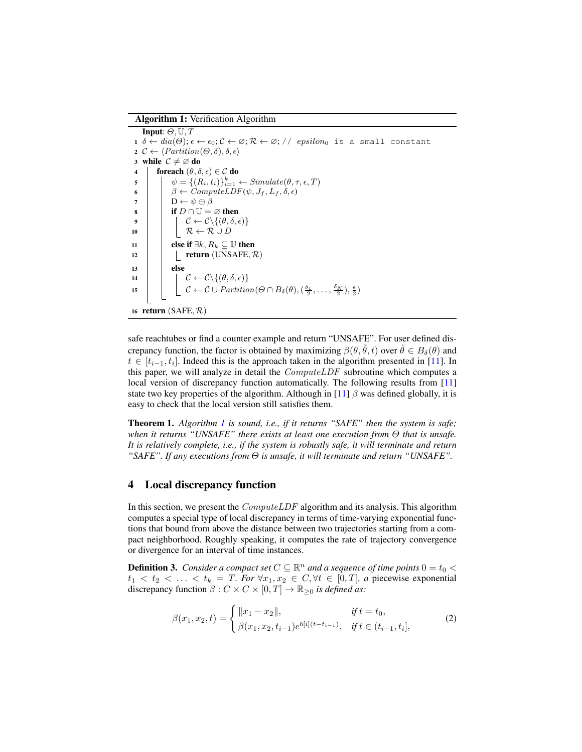Algorithm 1: Verification Algorithm

<span id="page-5-5"></span><span id="page-5-4"></span><span id="page-5-2"></span>Input:  $\Theta$ ,  $\mathbb{U}$ ,  $T$  $1 \delta \leftarrow dia(\Theta)$ ;  $\epsilon \leftarrow \epsilon_0$ ;  $\mathcal{C} \leftarrow \varnothing$ ;  $\mathcal{R} \leftarrow \varnothing$ ; //  $epsilon_0$  is a small constant 2  $\mathcal{C} \leftarrow \langle Partition(\Theta, \delta), \delta, \epsilon \rangle$ 3 while  $C \neq \emptyset$  do 4 **foreach**  $(\theta, \delta, \epsilon) \in \mathcal{C}$  do  $\mathfrak{s}$   $\downarrow \quad \downarrow \quad \psi = \{(R_i, t_i)\}_{i=1}^k \leftarrow \text{Simulate}(\theta, \tau, \epsilon, T)$ 6 |  $\beta \leftarrow ComputeLDF(\psi, J_f, L_f, \delta, \epsilon)$ 7 | D  $\leftarrow \psi \oplus \beta$ 8 | if  $D \cap \mathbb{U} = \emptyset$  then  $\begin{array}{c|c} \mathbf{9} & \begin{array}{|c} \end{array} & \begin{array}{|c} \end{array} & \mathcal{C} \leftarrow \mathcal{C} \setminus \{(\theta,\delta,\epsilon)\} \end{array} \end{array}$ 10  $\vert \vert \mathcal{R} \leftarrow \mathcal{R} \cup D$ 11 **else if**  $\exists k, R_k \subseteq \mathbb{U}$  then 12 | | | return (UNSAFE,  $\mathcal{R}$ )  $13$  else 14  $\left| \left| \left| \mathcal{C} \leftarrow \mathcal{C} \setminus \{(\theta, \delta, \epsilon)\}\right| \right|$ 15  $\left[\begin{array}{c} \begin{array}{c} \end{array} \left[ \begin{array}{c} \mathcal{C} \leftarrow \mathcal{C} \cup \mathit{Partition}(\Theta \cap B_{\delta}(\theta), (\frac{\delta_1}{2}, \ldots, \frac{\delta_N}{2}), \frac{\epsilon}{2} \end{array}) \right] \end{array}\right]$ 16 return (SAFE,  $R$ )

<span id="page-5-3"></span><span id="page-5-1"></span>safe reachtubes or find a counter example and return "UNSAFE". For user defined discrepancy function, the factor is obtained by maximizing  $\beta(\theta, \tilde{\theta}, t)$  over  $\tilde{\theta} \in B_{\delta}(\theta)$  and  $t \in [t_{i-1}, t_i]$ . Indeed this is the approach taken in the algorithm presented in [\[11\]](#page-15-0). In this paper, we will analyze in detail the ComputeLDF subroutine which computes a local version of discrepancy function automatically. The following results from [\[11\]](#page-15-0) state two key properties of the algorithm. Although in [\[11\]](#page-15-0)  $\beta$  was defined globally, it is easy to check that the local version still satisfies them.

Theorem 1. *Algorithm [1](#page-5-1) is sound, i.e., if it returns "SAFE" then the system is safe; when it returns "UNSAFE" there exists at least one execution from* Θ *that is unsafe. It is relatively complete, i.e., if the system is robustly safe, it will terminate and return "SAFE". If any executions from* Θ *is unsafe, it will terminate and return "UNSAFE".*

# <span id="page-5-0"></span>4 Local discrepancy function

In this section, we present the ComputeLDF algorithm and its analysis. This algorithm computes a special type of local discrepancy in terms of time-varying exponential functions that bound from above the distance between two trajectories starting from a compact neighborhood. Roughly speaking, it computes the rate of trajectory convergence or divergence for an interval of time instances.

**Definition 3.** Consider a compact set  $C \subseteq \mathbb{R}^n$  and a sequence of time points  $0 = t_0 <$  $t_1 < t_2 < \ldots < t_k = T$ . For  $\forall x_1, x_2 \in C, \forall t \in [0, T]$ , a piecewise exponential discrepancy function  $\beta : C \times C \times [0, T] \rightarrow \mathbb{R}_{\geq 0}$  *is defined as:* 

<span id="page-5-6"></span>
$$
\beta(x_1, x_2, t) = \begin{cases} ||x_1 - x_2||, & \text{if } t = t_0, \\ \beta(x_1, x_2, t_{i-1})e^{b[i](t - t_{i-1})}, & \text{if } t \in (t_{i-1}, t_i], \end{cases}
$$
(2)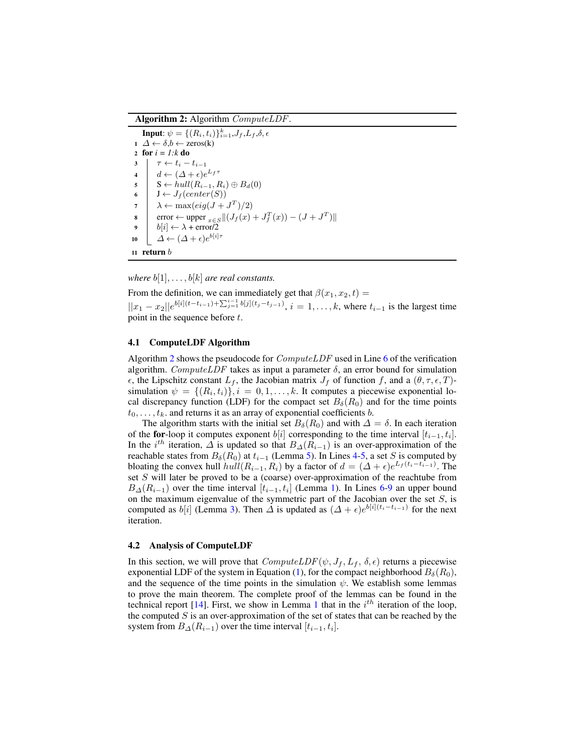Algorithm 2: Algorithm ComputeLDF.

<span id="page-6-4"></span><span id="page-6-2"></span><span id="page-6-1"></span>Input:  $\psi = \{(R_i, t_i)\}_{i=1}^k, J_f, L_f, \delta, \epsilon$ 1  $\Delta \leftarrow \delta, b \leftarrow$  zeros(k) 2 for  $i = 1:k$  do  $\overline{\mathfrak{z}}$   $\tau \leftarrow t_i - t_{i-1}$ 4  $d \leftarrow (\Delta + \epsilon) e^{L_f \tau}$  $\mathsf{s} \quad \mid \quad \mathsf{S} \leftarrow \textit{hull}(R_{i-1}, R_i) \oplus B_d(0)$ 6  $J \leftarrow J_f(center(S))$ 7  $\lambda \leftarrow \max(eig(J+J^T)/2)$ 8  $\left\| \text{ error} \leftarrow \text{upper}_{x \in S} \left\| (J_f(x) + J_f^T(x)) - (J + J^T) \right\|$  $b[i] \leftarrow \lambda + \text{error}/2$ 10  $\Delta \leftarrow (\Delta + \epsilon) e^{b[i]\tau}$ 11 return  $b$ 

<span id="page-6-7"></span><span id="page-6-6"></span><span id="page-6-5"></span><span id="page-6-0"></span>*where*  $b[1], \ldots, b[k]$  *are real constants.* 

From the definition, we can immediately get that  $\beta(x_1, x_2, t) =$  $||x_1 - x_2||e^{b[i](t - t_{i-1}) + \sum_{j=1}^{i-1} b[j](t_j - t_{j-1})}, i = 1, \ldots, k$ , where  $t_{i-1}$  is the largest time point in the sequence before  $t$ .

### 4.1 ComputeLDF Algorithm

Algorithm [2](#page-6-0) shows the pseudocode for  $ComputeLDF$  used in Line [6](#page-5-5) of the verification algorithm. ComputeLDF takes as input a parameter  $\delta$ , an error bound for simulation  $\epsilon$ , the Lipschitz constant  $L_f$ , the Jacobian matrix  $J_f$  of function f, and a  $(\theta, \tau, \epsilon, T)$ simulation  $\psi = \{(R_i, t_i)\}, i = 0, 1, \dots, k$ . It computes a piecewise exponential local discrepancy function (LDF) for the compact set  $B_\delta(R_0)$  and for the time points  $t_0, \ldots, t_k$  and returns it as an array of exponential coefficients b.

The algorithm starts with the initial set  $B_\delta(R_0)$  and with  $\Delta = \delta$ . In each iteration of the for-loop it computes exponent  $b[i]$  corresponding to the time interval  $[t_{i-1}, t_i]$ . In the i<sup>th</sup> iteration,  $\Delta$  is updated so that  $B_{\Delta}(R_{i-1})$  is an over-approximation of the reachable states from  $B_\delta(R_0)$  at  $t_{i-1}$  (Lemma [5\)](#page-8-0). In Lines [4-](#page-6-1)[5,](#page-6-2) a set S is computed by bloating the convex hull  $hull(R_{i-1}, R_i)$  by a factor of  $d = (\Delta + \epsilon)e^{L_f(t_i - t_{i-1})}$ . The set S will later be proved to be a (coarse) over-approximation of the reachtube from  $B_{\Delta}(R_{i-1})$  over the time interval  $[t_{i-1}, t_i]$  (Lemma [1\)](#page-6-3). In Lines [6-](#page-6-4)[9](#page-6-5) an upper bound on the maximum eigenvalue of the symmetric part of the Jacobian over the set  $S$ , is computed as  $b[i]$  (Lemma [3\)](#page-7-0). Then  $\Delta$  is updated as  $(\Delta + \epsilon)e^{b[i](t_i - t_{i-1})}$  for the next iteration.

#### <span id="page-6-8"></span>4.2 Analysis of ComputeLDF

<span id="page-6-3"></span>In this section, we will prove that  $ComputeLDF(\psi, J_f, L_f, \delta, \epsilon)$  returns a piecewise exponential LDF of the system in Equation [\(1\)](#page-3-0), for the compact neighborhood  $B_\delta(R_0)$ , and the sequence of the time points in the simulation  $\psi$ . We establish some lemmas to prove the main theorem. The complete proof of the lemmas can be found in the technical report [\[14\]](#page-15-19). First, we show in Lemma [1](#page-6-3) that in the  $i<sup>th</sup>$  iteration of the loop, the computed  $S$  is an over-approximation of the set of states that can be reached by the system from  $B_{\Delta}(R_{i-1})$  over the time interval  $[t_{i-1}, t_i]$ .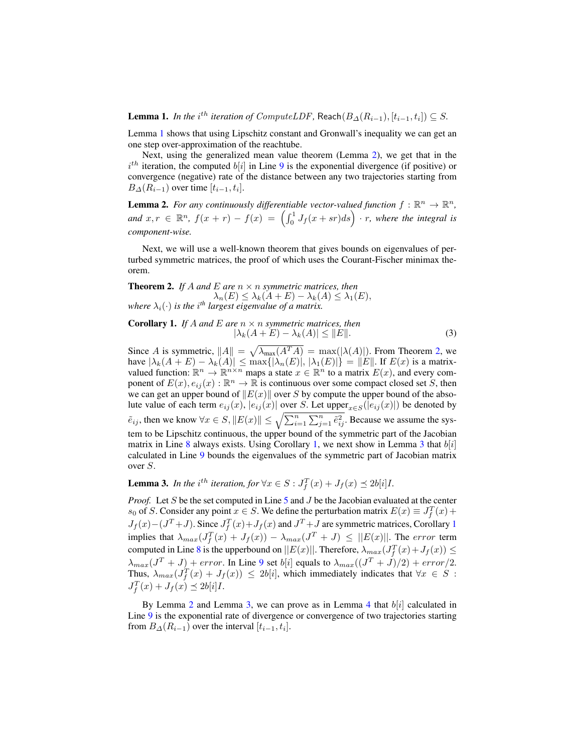**Lemma 1.** *In the i<sup>th</sup> iteration of ComputeLDF*, Reach $(B_{\Delta}(R_{i-1}), [t_{i-1}, t_i]) \subseteq S$ .

Lemma [1](#page-6-3) shows that using Lipschitz constant and Gronwall's inequality we can get an one step over-approximation of the reachtube.

Next, using the generalized mean value theorem (Lemma [2\)](#page-7-1), we get that in the  $i<sup>th</sup>$  iteration, the computed  $b[i]$  in Line [9](#page-6-5) is the exponential divergence (if positive) or convergence (negative) rate of the distance between any two trajectories starting from  $B_{\Delta}(R_{i-1})$  over time  $[t_{i-1}, t_i]$ .

<span id="page-7-1"></span>**Lemma 2.** For any continuously differentiable vector-valued function  $f : \mathbb{R}^n \to \mathbb{R}^n$ , and  $x, r \in \mathbb{R}^n$ ,  $f(x+r) - f(x) = \left( \int_0^1 J_f(x+sr)ds \right) \cdot r$ , where the integral is *component-wise.*

<span id="page-7-2"></span>Next, we will use a well-known theorem that gives bounds on eigenvalues of perturbed symmetric matrices, the proof of which uses the Courant-Fischer minimax theorem.

**Theorem 2.** If A and E are  $n \times n$  symmetric matrices, then  $\lambda_n(E) \leq \lambda_k(A+E) - \lambda_k(A) \leq \lambda_1(E),$ where  $\lambda_i(\cdot)$  is the i<sup>th</sup> largest eigenvalue of a matrix.

<span id="page-7-3"></span>**Corollary 1.** If *A* and *E* are 
$$
n \times n
$$
 symmetric matrices, then  
\n
$$
|\lambda_k(A + E) - \lambda_k(A)| \le ||E||.
$$
\n(3)

Since A is symmetric,  $||A|| = \sqrt{\lambda_{\max}(A^T A)} = \max(|\lambda(A)|)$ . From Theorem [2,](#page-7-2) we have  $|\lambda_k(A + E) - \lambda_k(A)| \leq \max\{|\lambda_n(E)|, |\lambda_1(E)|\} = ||E||$ . If  $E(x)$  is a matrixvalued function:  $\mathbb{R}^n \to \mathbb{R}^{n \times n}$  maps a state  $x \in \mathbb{R}^n$  to a matrix  $E(x)$ , and every component of  $E(x)$ ,  $e_{ij}(x): \mathbb{R}^n \to \mathbb{R}$  is continuous over some compact closed set S, then we can get an upper bound of  $||E(x)||$  over S by compute the upper bound of the absolute value of each term  $e_{ij}(x)$ ,  $|e_{ij}(x)|$  over S. Let upper $_{x \in S}(|e_{ij}(x)|)$  be denoted by  $\tilde{e}_{ij}$ , then we know  $\forall x \in S, ||E(x)|| \leq \sqrt{\sum_{i=1}^{n} \sum_{j=1}^{n} \tilde{e}_{ij}^2}$ . Because we assume the system to be Lipschitz continuous, the upper bound of the symmetric part of the Jacobian matrix in Line [8](#page-6-6) always exists. Using Corollary [1,](#page-7-3) we next show in Lemma [3](#page-7-0) that  $b[i]$ calculated in Line [9](#page-6-5) bounds the eigenvalues of the symmetric part of Jacobian matrix over S.

<span id="page-7-0"></span>**Lemma 3.** *In the i*<sup>th</sup> iteration, for  $\forall x \in S : J_f^T(x) + J_f(x) \leq 2b[i]I$ .

*Proof.* Let S be the set computed in Line [5](#page-6-2) and J be the Jacobian evaluated at the center s<sub>0</sub> of S. Consider any point  $x \in S$ . We define the perturbation matrix  $E(x) \equiv J_f^T(x) +$  $J_f(x) - (J^T + J)$ . Since  $J_f^T(x) + J_f(x)$  and  $J^T + J$  are symmetric matrices, Corollary [1](#page-7-3) implies that  $\lambda_{max}(J_f^T(x) + J_f(x)) - \lambda_{max}(J^T + J) \le ||E(x)||$ . The *error* term computed in Line [8](#page-6-6) is the upperbound on  $||E(x)||$ . Therefore,  $\lambda_{max}(J_f^T(x)+J_f(x)) \le$  $\lambda_{max}(J^T + J) + error$ . In Line [9](#page-6-5) set  $b[i]$  equals to  $\lambda_{max}((J^T + J)/2) + error/2$ . Thus,  $\lambda_{max}(J_f^T(x) + J_f(x)) \le 2b[i]$ , which immediately indicates that  $\forall x \in S$ :  $J_f^T(x) + J_f(x) \preceq 2b[i]I.$ 

<span id="page-7-4"></span>By Lemma [2](#page-7-1) and Lemma [3,](#page-7-0) we can prove as in Lemma [4](#page-7-4) that  $b[i]$  calculated in Line [9](#page-6-5) is the exponential rate of divergence or convergence of two trajectories starting from  $B_{\Delta}(R_{i-1})$  over the interval  $[t_{i-1}, t_i]$ .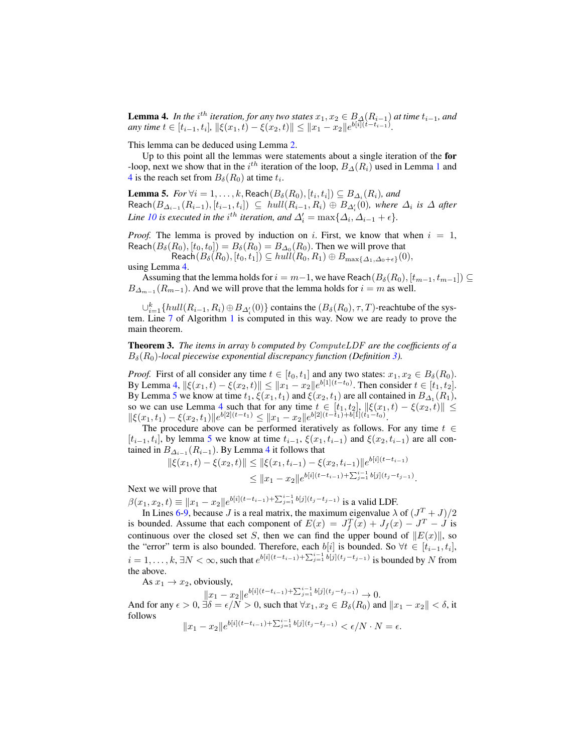**Lemma 4.** *In the*  $i^{th}$  *iteration, for any two states*  $x_1, x_2 \in B_{\Delta}(R_{i-1})$  *at time*  $t_{i-1}$ *, and*  $\|a_n y \text{ time } t \in [t_{i-1}, t_i], \|\xi(x_1, t) - \xi(x_2, t)\| \leq \|x_1 - x_2\|e^{b[i](t - t_{i-1})}.$ 

This lemma can be deduced using Lemma [2.](#page-7-1)

<span id="page-8-0"></span>Up to this point all the lemmas were statements about a single iteration of the for -loop, next we show that in the  $i^{th}$  iteration of the loop,  $B_{\Delta}(R_i)$  used in Lemma [1](#page-6-3) and [4](#page-7-4) is the reach set from  $B_{\delta}(R_0)$  at time  $t_i$ .

**Lemma 5.** *For*  $\forall i = 1, ..., k$ , Reach $(B_\delta(R_0), [t_i, t_i]) \subseteq B_{\Delta_i}(R_i)$ , and  $\mathsf{Reach}(B_{\Delta_{i-1}}(R_{i-1}), [t_{i-1},t_i]) \subseteq \textit{hull}(R_{i-1},R_i) \oplus B_{\Delta'_i}(0)$ *, where*  $\Delta_i$  *is*  $\Delta$  *after Line* [10](#page-6-7) *is executed in the*  $i^{th}$  *iteration, and*  $\Delta'_{i} = \max\{\Delta_{i}, \Delta_{i-1} + \epsilon\}.$ 

*Proof.* The lemma is proved by induction on i. First, we know that when  $i = 1$ , Reach $(B_{\delta}(R_0), [t_0, t_0]) = B_{\delta}(R_0) = B_{\Delta_0}(R_0)$ . Then we will prove that Reach $(B_\delta(R_0), [t_0, t_1]) \subseteq \text{hull}(R_0, R_1) \oplus B_{\text{max}\{A_1, A_0 + \epsilon\}}(0),$ 

using Lemma [4.](#page-7-4)

Assuming that the lemma holds for  $i = m-1$ , we have Reach $(B_{\delta}(R_0), [t_{m-1}, t_{m-1}]) \subseteq$  $B_{\Delta_{m-1}}(R_{m-1})$ . And we will prove that the lemma holds for  $i = m$  as well.

 $\cup_{i=1}^k \{hull(R_{i-1}, R_i) \oplus B_{\Delta'_i}(0)\}$  contains the  $(B_\delta(R_0), \tau, T)$ -reachtube of the sys-tem. Line [7](#page-5-4) of Algorithm [1](#page-5-1) is computed in this way. Now we are ready to prove the main theorem.

Theorem 3. *The items in array* b *computed by* ComputeLDF *are the coefficients of a*  $B_{\delta}(R_0)$ -local piecewise exponential discrepancy function (Definition [3\)](#page-5-6).

*Proof.* First of all consider any time  $t \in [t_0, t_1]$  and any two states:  $x_1, x_2 \in B_\delta(R_0)$ . By Lemma [4,](#page-7-4)  $\|\xi(x_1,t) - \xi(x_2,t)\| \le \|x_1 - x_2\|e^{b[1](t-t_0)}$ . Then consider  $t \in [t_1, t_2]$ . By Lemma [5](#page-8-0) we know at time  $t_1, \xi(x_1, t_1)$  and  $\xi(x_2, t_1)$  are all contained in  $B_{\Delta_1}(R_1)$ , so we can use Lemma [4](#page-7-4) such that for any time  $t \in [t_1, t_2], ||\xi(x_1, t) - \xi(x_2, t)|| \le$  $\|\xi(x_1,t_1)-\xi(x_2,t_1)\|e^{b[2](t-t_1)} \leq \|x_1-x_2\|e^{b[2](t-\tilde{t}_1)+b[1](\tilde{t}_1-t_0)}.$ 

The procedure above can be performed iteratively as follows. For any time  $t \in$  $[t_{i-1}, t_i]$ , by lemma [5](#page-8-0) we know at time  $t_{i-1}$ ,  $\xi(x_1, t_{i-1})$  and  $\xi(x_2, t_{i-1})$  are all contained in  $B_{\Delta_{i-1}}(R_{i-1})$ . By Lemma [4](#page-7-4) it follows that

$$
||\xi(x_1,t) - \xi(x_2,t)|| \le ||\xi(x_1,t_{i-1}) - \xi(x_2,t_{i-1})||e^{b[i](t-t_{i-1})}
$$
  

$$
\le ||x_1 - x_2||e^{b[i](t-t_{i-1}) + \sum_{j=1}^{i-1} b[j](t_j - t_{j-1})}.
$$

Next we will prove that

 $\beta(x_1, x_2, t) \equiv ||x_1 - x_2||e^{b[i](t - t_{i-1}) + \sum_{j=1}^{i-1} b[j](t_j - t_{j-1})}$  is a valid LDF.

In Lines [6](#page-6-4)[-9,](#page-6-5) because J is a real matrix, the maximum eigenvalue  $\lambda$  of  $(J^T + J)/2$ is bounded. Assume that each component of  $E(x) = J_f^T(x) + J_f(x) - J^T - J$  is continuous over the closed set S, then we can find the upper bound of  $||E(x)||$ , so the "error" term is also bounded. Therefore, each  $b[i]$  is bounded. So  $\forall t \in [t_{i-1}, t_i]$ ,  $i = 1, \ldots, k$ ,  $\exists N < \infty$ , such that  $e^{b[i](t-t_{i-1}) + \sum_{j=1}^{i-1} b[j](t_j - t_{j-1})}$  is bounded by N from the above.

As  $x_1 \rightarrow x_2$ , obviously,

 $||x_1 - x_2||e^{b[i](t-t_{i-1}) + \sum_{j=1}^{i-1} b[j](t_j - t_{j-1})} \to 0.$ 

And for any  $\epsilon > 0$ ,  $\exists \delta = \epsilon/N > 0$ , such that  $\forall x_1, x_2 \in B_\delta(R_0)$  and  $||x_1 - x_2|| < \delta$ , it follows  $b[i](t-1)$   $\sum i-1$  if  $\Delta$ 

$$
||x_1 - x_2||e^{b[i](t - t_{i-1}) + \sum_{j=1}^{i-1} b[j](t_j - t_{j-1})} < \epsilon/N \cdot N = \epsilon.
$$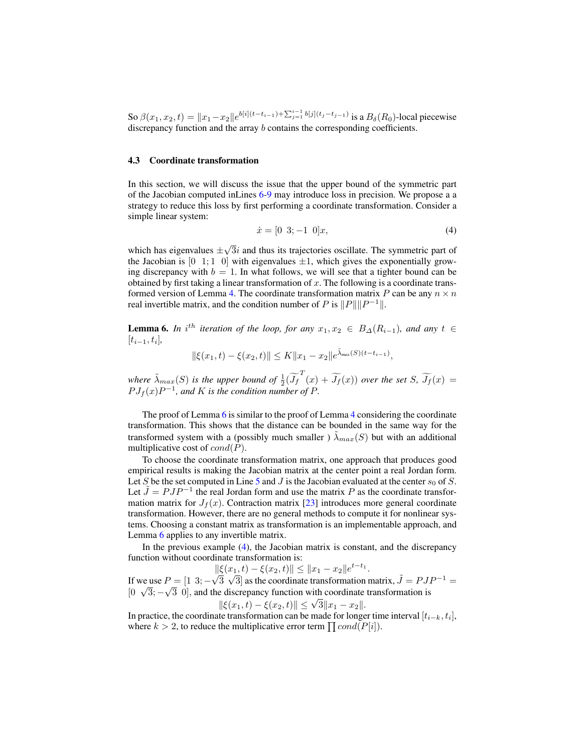So  $\beta(x_1, x_2, t) = ||x_1 - x_2||e^{b[i](t - t_{i-1}) + \sum_{j=1}^{i-1} b[j](t_j - t_{j-1})}$  is a  $B_\delta(R_0)$ -local piecewise discrepancy function and the array b contains the corresponding coefficients.

#### 4.3 Coordinate transformation

In this section, we will discuss the issue that the upper bound of the symmetric part of the Jacobian computed inLines [6-](#page-6-4)[9](#page-6-5) may introduce loss in precision. We propose a a strategy to reduce this loss by first performing a coordinate transformation. Consider a simple linear system:

<span id="page-9-1"></span>
$$
\dot{x} = [0 \ 3; -1 \ 0]x,\tag{4}
$$

which has eigenvalues  $\pm$ √  $3i$  and thus its trajectories oscillate. The symmetric part of the Jacobian is  $[0 \ 1; 1 \ 0]$  with eigenvalues  $\pm 1$ , which gives the exponentially growing discrepancy with  $b = 1$ . In what follows, we will see that a tighter bound can be obtained by first taking a linear transformation of  $x$ . The following is a coordinate trans-formed version of Lemma [4.](#page-7-4) The coordinate transformation matrix P can be any  $n \times n$ real invertible matrix, and the condition number of P is  $||P|| ||P^{-1}||$ .

<span id="page-9-0"></span>**Lemma 6.** In i<sup>th</sup> iteration of the loop, for any  $x_1, x_2 \in B_{\Delta}(R_{i-1})$ , and any  $t \in$  $[t_{i-1}, t_i],$ 

$$
\|\xi(x_1,t) - \xi(x_2,t)\| \le K \|x_1 - x_2\|e^{\tilde{\lambda}_{max}(S)(t - t_{i-1})},
$$

where  $\tilde{\lambda}_{max}(S)$  is the upper bound of  $\frac{1}{2}(\widetilde{J_f}^T(x) + \widetilde{J_f}(x))$  over the set  $S$ ,  $\widetilde{J_f}(x) =$  $PJ_f(x)P^{-1}$ , and K is the condition number of P.

The proof of Lemma [6](#page-9-0) is similar to the proof of Lemma [4](#page-7-4) considering the coordinate transformation. This shows that the distance can be bounded in the same way for the transformed system with a (possibly much smaller )  $\lambda_{max}(S)$  but with an additional multiplicative cost of  $cond(P)$ .

To choose the coordinate transformation matrix, one approach that produces good empirical results is making the Jacobian matrix at the center point a real Jordan form. Let S be the set computed in Line [5](#page-6-2) and J is the Jacobian evaluated at the center  $s_0$  of S. Let  $\tilde{J} = P J P^{-1}$  the real Jordan form and use the matrix P as the coordinate transformation matrix for  $J_f(x)$ . Contraction matrix [\[23\]](#page-15-7) introduces more general coordinate transformation. However, there are no general methods to compute it for nonlinear systems. Choosing a constant matrix as transformation is an implementable approach, and Lemma [6](#page-9-0) applies to any invertible matrix.

In the previous example [\(4\)](#page-9-1), the Jacobian matrix is constant, and the discrepancy function without coordinate transformation is:

$$
\|\xi(x_1,t) - \xi(x_2,t)\| \le \|x_1 - x_2\|e^{t-t_1}.
$$

If we use  $P = [1 \ 3; -]$ 3  $P = \begin{bmatrix} 1 & 3 \\ -\sqrt{3} & \sqrt{3} \end{bmatrix}$  as the coordinate transformation matrix,  $\tilde{J} = PJP^{-1} =$ If we use  $P = \begin{bmatrix} 1 & 3 \\ -\sqrt{3} & \sqrt{3} \end{bmatrix}$ , and the discrepancy function with coordinate transformation is  $\|\xi(x_1, t) - \xi(x_2, t)\| \le \sqrt{3} \|x_1 - x_2\|$ .

$$
\xi(x_1, t) - \xi(x_2, t) \| \le \sqrt{3} \|x_1 - x_2\|.
$$

In practice, the coordinate transformation can be made for longer time interval  $[t_{i-k}, t_i]$ , where  $k > 2$ , to reduce the multiplicative error term  $\prod cond(P[i])$ .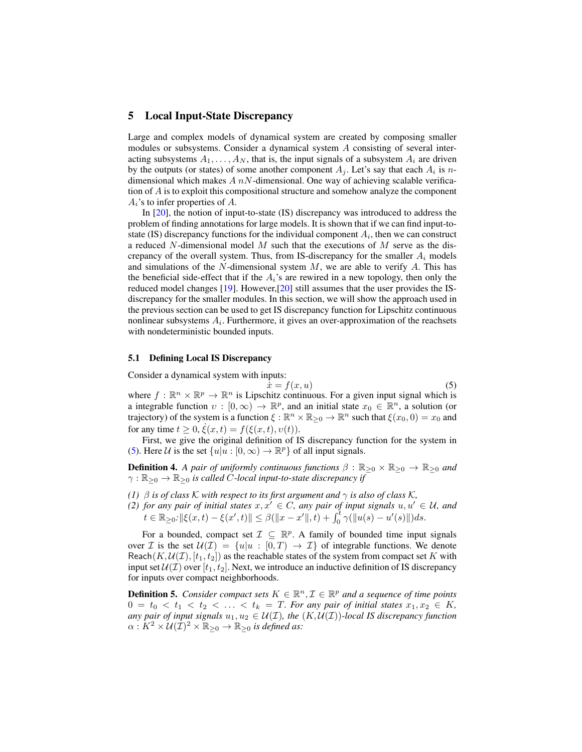# <span id="page-10-0"></span>5 Local Input-State Discrepancy

Large and complex models of dynamical system are created by composing smaller modules or subsystems. Consider a dynamical system A consisting of several interacting subsystems  $A_1, \ldots, A_N$ , that is, the input signals of a subsystem  $A_i$  are driven by the outputs (or states) of some another component  $A_j$ . Let's say that each  $A_i$  is ndimensional which makes  $A$  nN-dimensional. One way of achieving scalable verification of A is to exploit this compositional structure and somehow analyze the component  $A_i$ 's to infer properties of A.

In [\[20\]](#page-15-1), the notion of input-to-state (IS) discrepancy was introduced to address the problem of finding annotations for large models. It is shown that if we can find input-tostate (IS) discrepancy functions for the individual component  $A_i$ , then we can construct a reduced N-dimensional model M such that the executions of M serve as the discrepancy of the overall system. Thus, from IS-discrepancy for the smaller  $A_i$  models and simulations of the  $N$ -dimensional system  $M$ , we are able to verify  $A$ . This has the beneficial side-effect that if the  $A_i$ 's are rewired in a new topology, then only the reduced model changes [\[19\]](#page-15-18). However,[\[20\]](#page-15-1) still assumes that the user provides the ISdiscrepancy for the smaller modules. In this section, we will show the approach used in the previous section can be used to get IS discrepancy function for Lipschitz continuous nonlinear subsystems  $A_i$ . Furthermore, it gives an over-approximation of the reachsets with nondeterministic bounded inputs.

#### 5.1 Defining Local IS Discrepancy

Consider a dynamical system with inputs:

<span id="page-10-1"></span> $\dot{x} = f(x, u)$  (5)

where  $f : \mathbb{R}^n \times \mathbb{R}^p \to \mathbb{R}^n$  is Lipschitz continuous. For a given input signal which is a integrable function  $v : [0, \infty) \to \mathbb{R}^p$ , and an initial state  $x_0 \in \mathbb{R}^n$ , a solution (or trajectory) of the system is a function  $\xi : \mathbb{R}^n \times \mathbb{R}_{\geq 0} \to \mathbb{R}^n$  such that  $\xi(x_0, 0) = x_0$  and for any time  $t \geq 0$ ,  $\dot{\xi}(x,t) = f(\xi(x,t), v(t)).$ 

First, we give the original definition of IS discrepancy function for the system in [\(5\)](#page-10-1). Here U is the set  $\{u \mid u : [0, \infty) \to \mathbb{R}^p\}$  of all input signals.

**Definition 4.** *A pair of uniformly continuous functions*  $\beta : \mathbb{R}_{\geq 0} \times \mathbb{R}_{\geq 0} \to \mathbb{R}_{\geq 0}$  *and*  $\gamma : \mathbb{R}_{\geq 0} \to \mathbb{R}_{\geq 0}$  *is called C-local input-to-state discrepancy if* 

- *(1)*  $\beta$  *is of class*  $\mathcal K$  *with respect to its first argument and*  $\gamma$  *is also of class*  $\mathcal K$ *,*
- *(2) for any pair of initial states*  $x, x' \in C$ *, any pair of input signals*  $u, u' \in U$ *, and*  $t \in \mathbb{R}_{\geq 0}: ||\xi(x,t)-\xi(x',t)|| \leq \beta(||x-x'||,t) + \int_0^t \gamma(||u(s)-u'(s)||)ds.$

For a bounded, compact set  $\mathcal{I} \subseteq \mathbb{R}^p$ . A family of bounded time input signals over I is the set  $U(\mathcal{I}) = \{u | u : [0, T] \to \mathcal{I}\}\$  of integrable functions. We denote Reach $(K, \mathcal{U}(\mathcal{I}), [t_1, t_2])$  as the reachable states of the system from compact set K with input set  $U(\mathcal{I})$  over  $[t_1, t_2]$ . Next, we introduce an inductive definition of IS discrepancy for inputs over compact neighborhoods.

**Definition 5.** Consider compact sets  $K \in \mathbb{R}^n, \mathcal{I} \in \mathbb{R}^p$  and a sequence of time points  $0 = t_0 < t_1 < t_2 < \ldots < t_k = T$ . For any pair of initial states  $x_1, x_2 \in K$ , *any pair of input signals*  $u_1, u_2 \in \mathcal{U}(\mathcal{I})$ *, the*  $(K, \mathcal{U}(\mathcal{I}))$ *-local IS discrepancy function*  $\alpha: K^2 \times \mathcal{U}(\mathcal{I})^2 \times \mathbb{R}_{\geq 0} \to \mathbb{R}_{\geq 0}$  is defined as: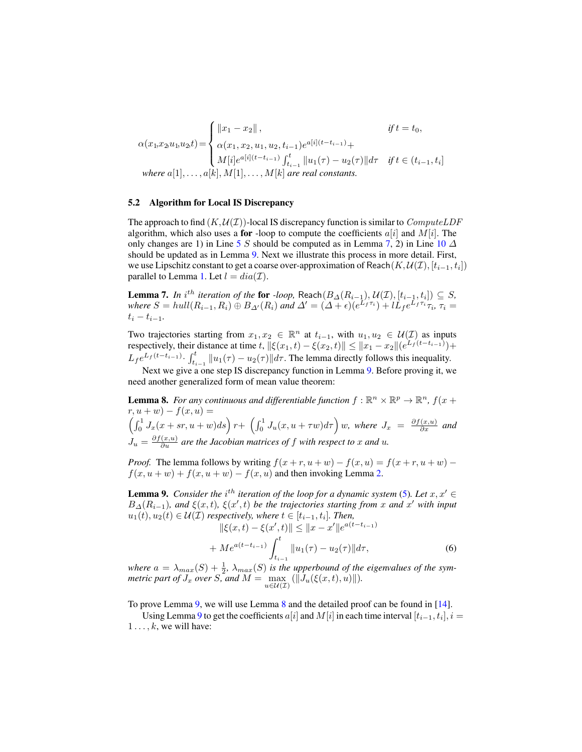$$
\alpha(x_1, x_2, u_1, u_2, t) = \begin{cases} ||x_1 - x_2||, & \text{if } t = t_0, \\ \alpha(x_1, x_2, u_1, u_2, t_{i-1})e^{a[i](t - t_{i-1})} + \\ M[i]e^{a[i](t - t_{i-1})} \int_{t_{i-1}}^t ||u_1(\tau) - u_2(\tau)||d\tau & \text{if } t \in (t_{i-1}, t_i] \end{cases}
$$
\nwhere  $a[1], \ldots, a[k], M[1], \ldots, M[k]$  are real constants.

#### 5.2 Algorithm for Local IS Discrepancy

The approach to find  $(K, U(\mathcal{I}))$ -local IS discrepancy function is similar to  $ComputeLDF$ algorithm, which also uses a **for** -loop to compute the coefficients  $a[i]$  and  $M[i]$ . The only changes are 1) in Line [5](#page-6-2) S should be computed as in Lemma [7,](#page-11-0) 2) in Line [10](#page-6-7)  $\Delta$ should be updated as in Lemma [9.](#page-11-1) Next we illustrate this process in more detail. First, we use Lipschitz constant to get a coarse over-approximation of  $\mathsf{Reach}(K,\mathcal{U}(\mathcal{I}),[t_{i-1},t_i])$ parallel to Lemma [1.](#page-6-3) Let  $l = dia(\mathcal{I})$ .

<span id="page-11-0"></span>**Lemma 7.** In i<sup>th</sup> iteration of the for *-loop*, Reach $(B_\Delta(R_{i-1}), \mathcal{U}(\mathcal{I}), [t_{i-1}, t_i]) \subseteq S$ , *where*  $S = \hbarull(R_{i-1}, R_i) \oplus B_{\Delta'}(R_i)$  *and*  $\Delta' = (\Delta + \epsilon)(e^{L_f \tau_i}) + lL_f e^{L_f \tau_i} \tau_i$ ,  $\tau_i =$  $t_i - t_{i-1}.$ 

Two trajectories starting from  $x_1, x_2 \in \mathbb{R}^n$  at  $t_{i-1}$ , with  $u_1, u_2 \in \mathcal{U}(\mathcal{I})$  as inputs respectively, their distance at time t,  $\|\xi(x_1,t) - \xi(x_2,t)\| \leq ||x_1 - x_2|| (e^{\tilde{L}_f(t-t_{i-1})}) +$  $L_f e^{L_f(t-t_{i-1})} \cdot \int_{t_{i-1}}^t \|u_1(\tau) - u_2(\tau)\| d\tau$ . The lemma directly follows this inequality.

Next we give a one step IS discrepancy function in Lemma [9.](#page-11-1) Before proving it, we need another generalized form of mean value theorem:

**Lemma 8.** For any continuous and differentiable function  $f : \mathbb{R}^n \times \mathbb{R}^p \to \mathbb{R}^n$ ,  $f(x +$  $r, u + w) - f(x, u) =$  $\left(\int_0^1 J_x(x+sr,u+w)ds\right)r+\left(\int_0^1 J_u(x,u+\tau w)d\tau\right)w$ , where  $J_x = \frac{\partial f(x,u)}{\partial x}$  and  $J_u = \frac{\partial f(x, u)}{\partial u}$  are the Jacobian matrices of f with respect to x and u.

*Proof.* The lemma follows by writing  $f(x + r, u + w) - f(x, u) = f(x + r, u + w) - f(x, w)$  $f(x, u + w) + f(x, u + w) - f(x, u)$  and then invoking Lemma [2.](#page-7-1)

<span id="page-11-1"></span>**Lemma 9.** *Consider the*  $i^{th}$  *iteration of the loop for a dynamic system* [\(5\)](#page-10-1)*. Let*  $x, x' \in$  $B_{\Delta}(R_{i-1})$ , and  $\xi(x,t)$ ,  $\xi(x',t)$  be the trajectories starting from x and x' with input  $u_1(t), u_2(t) \in U(\mathcal{I})$  *respectively, where*  $t \in [t_{i-1}, t_i]$ *. Then,* 

<span id="page-11-2"></span>
$$
\|\xi(x,t) - \xi(x',t)\| \le \|x - x'\| e^{a(t-t_{i-1})}
$$
  
+ 
$$
Me^{a(t-t_{i-1})} \int_{t_{i-1}}^{t} \|u_1(\tau) - u_2(\tau)\| d\tau,
$$
 (6)

 $J_{t_{i-1}}$ <br>where  $a = \lambda_{max}(S) + \frac{1}{2}$ ,  $\lambda_{max}(S)$  is the upperbound of the eigenvalues of the sym*metric part of*  $J_x$  *over*  $S$ , and  $M = \max_{x \in S} (||J_u(\xi(x, t), u)||)$ .  $u \in \mathcal{U}(\mathcal{I})$ 

To prove Lemma [9,](#page-11-1) we will use Lemma [8](#page-11-2) and the detailed proof can be found in [\[14\]](#page-15-19).

Using Lemma [9](#page-11-1) to get the coefficients  $a[i]$  and  $M[i]$  in each time interval  $[t_{i-1}, t_i], i =$  $1 \ldots, k$ , we will have: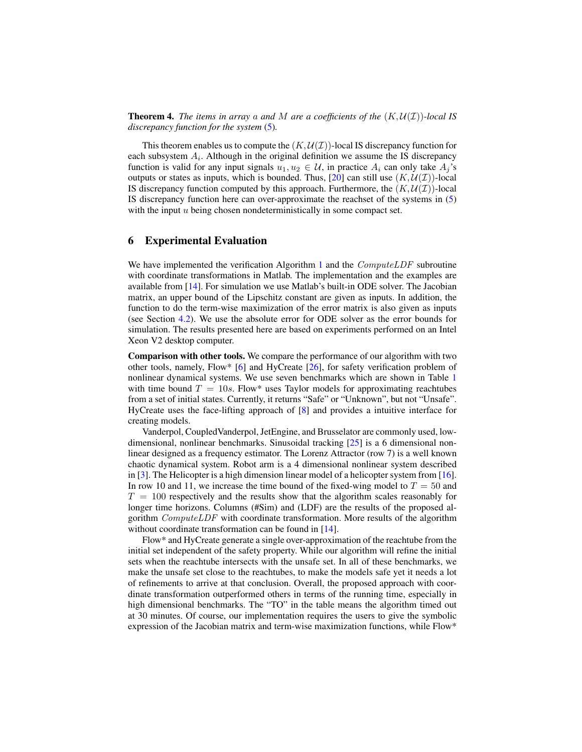**Theorem 4.** *The items in array* a and M are a coefficients of the  $(K, \mathcal{U}(\mathcal{I}))$ *-local IS discrepancy function for the system* [\(5\)](#page-10-1)*.*

This theorem enables us to compute the  $(K, \mathcal{U}(\mathcal{I}))$ -local IS discrepancy function for each subsystem  $A_i$ . Although in the original definition we assume the IS discrepancy function is valid for any input signals  $u_1, u_2 \in \mathcal{U}$ , in practice  $A_i$  can only take  $A_i$ 's outputs or states as inputs, which is bounded. Thus, [\[20\]](#page-15-1) can still use  $(K, \mathcal{U}(\mathcal{I}))$ -local IS discrepancy function computed by this approach. Furthermore, the  $(K, \mathcal{U}(\mathcal{I}))$ -local IS discrepancy function here can over-approximate the reachset of the systems in [\(5\)](#page-10-1) with the input  $u$  being chosen nondeterministically in some compact set.

# 6 Experimental Evaluation

We have implemented the verification Algorithm [1](#page-5-1) and the *ComputeLDF* subroutine with coordinate transformations in Matlab. The implementation and the examples are available from [\[14\]](#page-15-19). For simulation we use Matlab's built-in ODE solver. The Jacobian matrix, an upper bound of the Lipschitz constant are given as inputs. In addition, the function to do the term-wise maximization of the error matrix is also given as inputs (see Section [4.2\)](#page-6-8). We use the absolute error for ODE solver as the error bounds for simulation. The results presented here are based on experiments performed on an Intel Xeon V2 desktop computer.

Comparison with other tools. We compare the performance of our algorithm with two other tools, namely, Flow\* [\[6\]](#page-15-12) and HyCreate [\[26\]](#page-15-20), for safety verification problem of nonlinear dynamical systems. We use seven benchmarks which are shown in Table [1](#page-13-0) with time bound  $T = 10s$ . Flow\* uses Taylor models for approximating reachtubes from a set of initial states. Currently, it returns "Safe" or "Unknown", but not "Unsafe". HyCreate uses the face-lifting approach of [\[8\]](#page-15-21) and provides a intuitive interface for creating models.

Vanderpol, CoupledVanderpol, JetEngine, and Brusselator are commonly used, lowdimensional, nonlinear benchmarks. Sinusoidal tracking [\[25\]](#page-15-22) is a 6 dimensional nonlinear designed as a frequency estimator. The Lorenz Attractor (row 7) is a well known chaotic dynamical system. Robot arm is a 4 dimensional nonlinear system described in  $[3]$ . The Helicopter is a high dimension linear model of a helicopter system from  $[16]$ . In row 10 and 11, we increase the time bound of the fixed-wing model to  $T = 50$  and  $T = 100$  respectively and the results show that the algorithm scales reasonably for longer time horizons. Columns (#Sim) and (LDF) are the results of the proposed algorithm ComputeLDF with coordinate transformation. More results of the algorithm without coordinate transformation can be found in [\[14\]](#page-15-19).

Flow\* and HyCreate generate a single over-approximation of the reachtube from the initial set independent of the safety property. While our algorithm will refine the initial sets when the reachtube intersects with the unsafe set. In all of these benchmarks, we make the unsafe set close to the reachtubes, to make the models safe yet it needs a lot of refinements to arrive at that conclusion. Overall, the proposed approach with coordinate transformation outperformed others in terms of the running time, especially in high dimensional benchmarks. The "TO" in the table means the algorithm timed out at 30 minutes. Of course, our implementation requires the users to give the symbolic expression of the Jacobian matrix and term-wise maximization functions, while Flow\*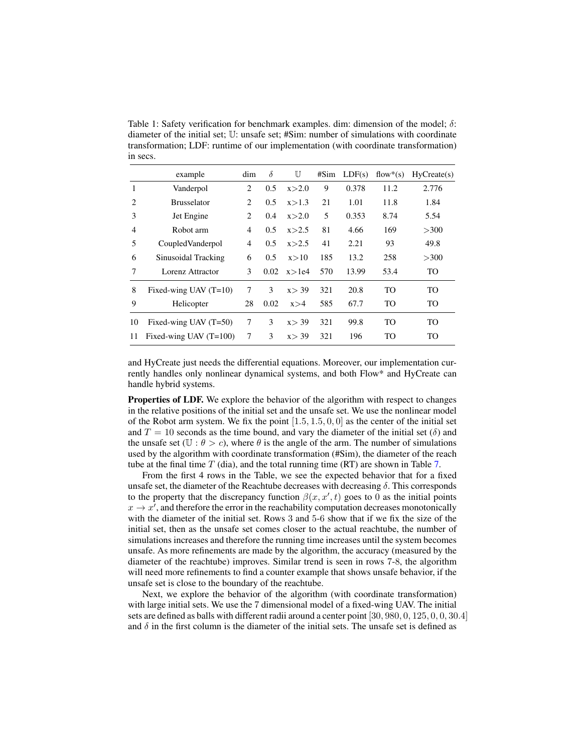<span id="page-13-0"></span>Table 1: Safety verification for benchmark examples. dim: dimension of the model;  $\delta$ : diameter of the initial set; U: unsafe set; #Sim: number of simulations with coordinate transformation; LDF: runtime of our implementation (with coordinate transformation) in secs.

|                | example                  | dim            | $\delta$ | U       | #Sim | LDF(s) | flow <sup>*</sup> (s) | HvCreate(s) |
|----------------|--------------------------|----------------|----------|---------|------|--------|-----------------------|-------------|
| 1              | Vanderpol                | 2              | 0.5      | x > 2.0 | 9    | 0.378  | 11.2                  | 2.776       |
| $\overline{c}$ | <b>Brusselator</b>       | 2              | 0.5      | x > 1.3 | 21   | 1.01   | 11.8                  | 1.84        |
| 3              | Jet Engine               | 2              | 0.4      | x > 2.0 | 5    | 0.353  | 8.74                  | 5.54        |
| 4              | Robot arm                | $\overline{4}$ | 0.5      | x > 2.5 | 81   | 4.66   | 169                   | >300        |
| 5              | CoupledVanderpol         | $\overline{4}$ | 0.5      | x > 2.5 | 41   | 2.21   | 93                    | 49.8        |
| 6              | Sinusoidal Tracking      | 6              | 0.5      | x>10    | 185  | 13.2   | 258                   | >300        |
| 7              | Lorenz Attractor         | 3              | 0.02     | x > 1e4 | 570  | 13.99  | 53.4                  | <b>TO</b>   |
| 8              | Fixed-wing UAV $(T=10)$  | 7              | 3        | x > 39  | 321  | 20.8   | TO                    | TO          |
| 9              | Helicopter               | 28             | 0.02     | x > 4   | 585  | 67.7   | TO                    | TO          |
| 10             | Fixed-wing UAV $(T=50)$  | 7              | 3        | x > 39  | 321  | 99.8   | <b>TO</b>             | TO          |
| 11             | Fixed-wing UAV $(T=100)$ | 7              | 3        | x > 39  | 321  | 196    | TO                    | TO          |
|                |                          |                |          |         |      |        |                       |             |

and HyCreate just needs the differential equations. Moreover, our implementation currently handles only nonlinear dynamical systems, and both Flow\* and HyCreate can handle hybrid systems.

Properties of LDF. We explore the behavior of the algorithm with respect to changes in the relative positions of the initial set and the unsafe set. We use the nonlinear model of the Robot arm system. We fix the point  $[1.5, 1.5, 0, 0]$  as the center of the initial set and  $T = 10$  seconds as the time bound, and vary the diameter of the initial set ( $\delta$ ) and the unsafe set ( $\mathbb{U}$ :  $\theta > c$ ), where  $\theta$  is the angle of the arm. The number of simulations used by the algorithm with coordinate transformation (#Sim), the diameter of the reach tube at the final time  $T$  (dia), and the total running time (RT) are shown in Table [7.](#page-14-3)

From the first 4 rows in the Table, we see the expected behavior that for a fixed unsafe set, the diameter of the Reachtube decreases with decreasing  $\delta$ . This corresponds to the property that the discrepancy function  $\beta(x, x', t)$  goes to 0 as the initial points  $x \to x'$ , and therefore the error in the reachability computation decreases monotonically with the diameter of the initial set. Rows 3 and 5-6 show that if we fix the size of the initial set, then as the unsafe set comes closer to the actual reachtube, the number of simulations increases and therefore the running time increases until the system becomes unsafe. As more refinements are made by the algorithm, the accuracy (measured by the diameter of the reachtube) improves. Similar trend is seen in rows 7-8, the algorithm will need more refinements to find a counter example that shows unsafe behavior, if the unsafe set is close to the boundary of the reachtube.

Next, we explore the behavior of the algorithm (with coordinate transformation) with large initial sets. We use the 7 dimensional model of a fixed-wing UAV. The initial sets are defined as balls with different radii around a center point [30, 980, 0, 125, 0, 0, 30.4] and  $\delta$  in the first column is the diameter of the initial sets. The unsafe set is defined as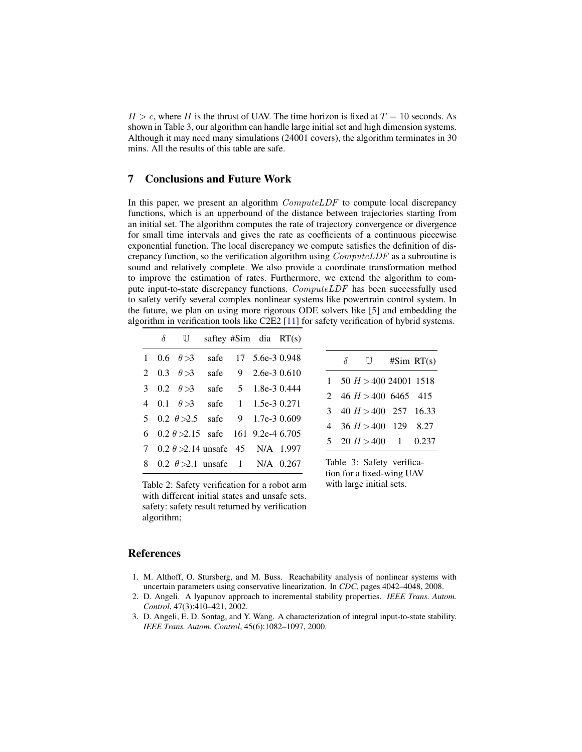$H > c$ , where H is the thrust of UAV. The time horizon is fixed at  $T = 10$  seconds. As shown in Table [3,](#page-14-4) our algorithm can handle large initial set and high dimension systems. Although it may need many simulations (24001 covers), the algorithm terminates in 30 mins. All the results of this table are safe.

# 7 Conclusions and Future Work

In this paper, we present an algorithm  $ComputeLDF$  to compute local discrepancy functions, which is an upperbound of the distance between trajectories starting from an initial set. The algorithm computes the rate of trajectory convergence or divergence for small time intervals and gives the rate as coefficients of a continuous piecewise exponential function. The local discrepancy we compute satisfies the definition of discrepancy function, so the verification algorithm using  $ComputeLDF$  as a subroutine is sound and relatively complete. We also provide a coordinate transformation method to improve the estimation of rates. Furthermore, we extend the algorithm to compute input-to-state discrepancy functions. ComputeLDF has been successfully used to safety verify several complex nonlinear systems like powertrain control system. In the future, we plan on using more rigorous ODE solvers like [\[5\]](#page-15-16) and embedding the algorithm in verification tools like C2E2 [\[11\]](#page-15-0) for safety verification of hybrid systems.

|                | δ | U                                         |        | saftey #Sim dia $RT(s)$      |  |
|----------------|---|-------------------------------------------|--------|------------------------------|--|
|                |   | 1 0.6 $\theta > 3$                        | safe   | 17 5.6e-3 0.948              |  |
|                |   | 2 0.3 $\theta > 3$                        | safe   | 9 2.6e-3 0.610               |  |
| 3              |   | 0.2 $\theta > 3$                          | – safe | 5 1.8e-3 0.444               |  |
| 4              |   | $0.1 \quad \theta > 3$                    | safe   | $1 \quad 1.5e-3 \quad 0.271$ |  |
| 5 <sup>7</sup> |   | 0.2 $\theta > 2.5$ safe                   |        | $9\quad 1.7e-3\;0.609$       |  |
| 6              |   | $0.2 \theta > 2.15$ safe 161 9.2e-4 6.705 |        |                              |  |
|                |   | 7 0.2 $\theta$ > 2.14 unsafe 45 N/A 1.997 |        |                              |  |
| 8              |   | 0.2 $\theta$ >2.1 unsafe 1 N/A 0.267      |        |                              |  |

 $\delta$  U #Sim RT(s) 1  $50 H > 400 24001 1518$ 2 46  $H > 400$  6465 415 3  $40 H > 400$  257 16.33 4  $36 H > 400$  129 8.27 5 20  $H > 400$  1 0.237

<span id="page-14-3"></span>Table 2: Safety verification for a robot arm with different initial states and unsafe sets. safety: safety result returned by verification algorithm;

# <span id="page-14-4"></span>Table 3: Safety verification for a fixed-wing UAV with large initial sets.

### References

- <span id="page-14-1"></span>1. M. Althoff, O. Stursberg, and M. Buss. Reachability analysis of nonlinear systems with uncertain parameters using conservative linearization. In *CDC*, pages 4042–4048, 2008.
- <span id="page-14-0"></span>2. D. Angeli. A lyapunov approach to incremental stability properties. *IEEE Trans. Autom. Control*, 47(3):410–421, 2002.
- <span id="page-14-2"></span>3. D. Angeli, E. D. Sontag, and Y. Wang. A characterization of integral input-to-state stability. *IEEE Trans. Autom. Control*, 45(6):1082–1097, 2000.